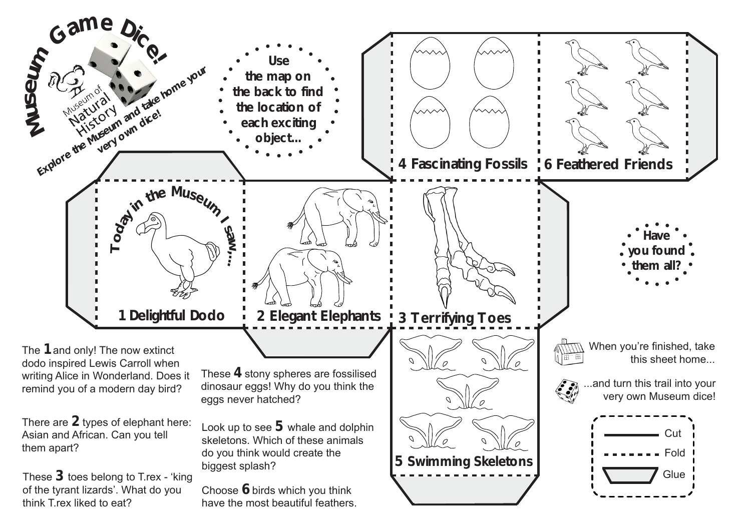